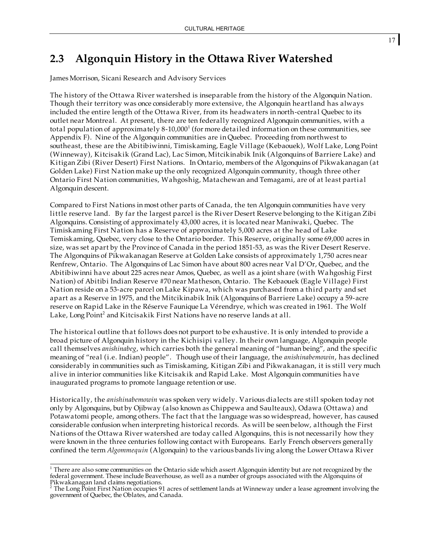# **2.3 Algonquin History in the Ottawa River Watershed**

James Morrison, Sicani Research and Advisory Services

The history of the Ottawa River watershed is inseparable from the history of the Algonquin Nation. Though their territory was once considerably more extensive, the Algonquin heartland has always included the entire length of the Ottawa River, from its headwaters in north-central Quebec to its outlet near Montreal. At present, there are ten federally recognized Algonquin communities, with a total population of approximately  $8-10,000<sup>1</sup>$  (for more detailed information on these communities, see Appendix F). Nine of the Algonquin communities are in Quebec. Proceeding from northwest to southeast, these are the Abitibiwinni, Timiskaming, Eagle Village (Kebaouek), Wolf Lake, Long Point (Winneway), Kitcisakik (Grand Lac), Lac Simon, Mitcikinabik Inik (Algonquins of Barriere Lake) and Kitigan Zibi (River Desert) First Nations. In Ontario, members of the Algonquins of Pikwakanagan (at Golden Lake) First Nation make up the only recognized Algonquin community, though three other Ontario First Nation communities, Wahgoshig, Matachewan and Temagami, are of at least partial Algonquin descent.

Compared to First Nations in most other parts of Canada, the ten Algonquin communities have very little reserve land. By far the largest parcel is the River Desert Reserve belonging to the Kitigan Zibi Algonquins. Consisting of approximately 43,000 acres, it is located near Maniwaki, Quebec. The Timiskaming First Nation has a Reserve of approximately 5,000 acres at the head of Lake Temiskaming, Quebec, very close to the Ontario border. This Reserve, originally some 69,000 acres in size, was set apart by the Province of Canada in the period 1851-53, as was the River Desert Reserve. The Algonquins of Pikwakanagan Reserve at Golden Lake consists of approximately 1,750 acres near Renfrew, Ontario. The Algonquins of Lac Simon have about 800 acres near Val D'Or, Quebec, and the Abitibiwinni have about 225 acres near Amos, Quebec, as well as a joint share (with Wahgoshig First Nation) of Abitibi Indian Reserve #70 near Matheson, Ontario. The Kebaouek (Eagle Village) First Nation reside on a 53-acre parcel on Lake Kipawa, which was purchased from a third party and set apart as a Reserve in 1975, and the Mitcikinabik Inik (Algonquins of Barriere Lake) occupy a 59-acre reserve on Rapid Lake in the Réserve Faunique La Vérendrye, which was created in 1961. The Wolf Lake, Long Point<sup>2</sup> and Kitcisakik First Nations have no reserve lands at all.

The historical outline that follows does not purport to be exhaustive. It is only intended to provide a broad picture of Algonquin history in the Kichisipi valley. In their own language, Algonquin people call themselves *anishinabeg*, which carries both the general meaning of "human being", and the specific meaning of "real (i.e. Indian) people". Though use of their language, the *anishinabemowin*, has declined considerably in communities such as Timiskaming, Kitigan Zibi and Pikwakanagan, it is still very much alive in interior communities like Kitcisakik and Rapid Lake. Most Algonquin communities have inaugurated programs to promote language retention or use.

Historically, the *anishinabemowin* was spoken very widely. Various dialects are still spoken today not only by Algonquins, but by Ojibway (also known as Chippewa and Saulteaux), Odawa (Ottawa) and Potawatomi people, among others. The fact that the language was so widespread, however, has caused considerable confusion when interpreting historical records. As will be seen below, although the First Nations of the Ottawa River watershed are today called Algonquins, this is not necessarily how they were known in the three centuries following contact with Europeans. Early French observers generally confined the term *Algommequin* (Algonquin) to the various bands living along the Lower Ottawa River

<sup>&</sup>lt;sup>1</sup> There are also some communities on the Ontario side which assert Algonquin identity but are not recognized by the federal government. These include Beaverhouse, as well as a number of groups associated with the Algonquins of

Pikwakanagan land claims negotiations.<br><sup>2</sup> The Long Point First Nation occupies 91 acres of settlement lands at Winneway under a lease agreement involving the government of Quebec, the Oblates, and Canada.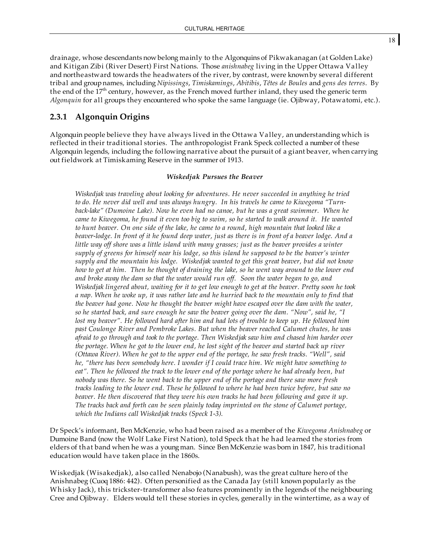drainage, whose descendants now belong mainly to the Algonquins of Pikwakanagan (at Golden Lake) and Kitigan Zibi (River Desert) First Nations. Those *anishnabeg* living in the Upper Ottawa Valley and northeastward towards the headwaters of the river, by contrast, were known by several different tribal and group names, including *Nipissings*, *Timiskamings*, *Abitibis*, *Têtes de Boules* and *gens des terres*. By the end of the  $17<sup>th</sup>$  century, however, as the French moved further inland, they used the generic term *Algonquin* for all groups they encountered who spoke the same language (ie. Ojibway, Potawatomi, etc.).

## **2.3.1 Algonquin Origins**

Algonquin people believe they have always lived in the Ottawa Valley, an understanding which is reflected in their traditional stories. The anthropologist Frank Speck collected a number of these Algonquin legends, including the following narrative about the pursuit of a giant beaver, when carrying out fieldwork at Timiskaming Reserve in the summer of 1913.

#### *Wiskedjak Pursues the Beaver*

*Wiskedjak was traveling about looking for adventures. He never succeeded in anything he tried to do. He never did well and was always hungry. In his travels he came to Kiwegoma "Turnback-lake" (Dumoine Lake). Now he even had no canoe, but he was a great swimmer. When he* came to Kiwegoma, he found it even too big to swim, so he started to walk around it. He wanted to hunt beaver. On one side of the lake, he came to a round, high mountain that looked like a beaver-lodge. In front of it he found deep water, just as there is in front of a beaver lodge. And a *little way off shore was a little island with many grasses; just as the beaver provides a winter supply of greens for himself near his lodge, so this island he supposed to be the beaver's winter supply and the mountain his lodge. Wiskedjak wanted to get this great beaver, but did not know* how to get at him. Then he thought of draining the lake, so he went way around to the lower end *and broke away the dam so that the water would run off. Soon the water began to go, and* Wiskedjak lingered about, waiting for it to get low enough to get at the beaver. Pretty soon he took a nap. When he woke up, it was rather late and he hurried back to the mountain only to find that *the beaver had gone. Now he thought the beaver might have escaped over the dam with the water,* so he started back, and sure enough he saw the beaver going over the dam. "Now", said he, "I lost my beaver". He followed hard after him and had lots of trouble to keep up. He followed him *past Coulonge River and Pembroke Lakes. But when the beaver reached Calumet chutes, he was afraid to go through and took to the portage. Then Wiskedjak saw him and chased him harder over* the portage. When he got to the lower end, he lost sight of the beaver and started back up river *(Ottawa River). When he got to the upper end of the portage, he saw fresh tracks. "Well", said he, "there has been somebody here. I wonder if I could trace him. We might have something to* eat". Then he followed the track to the lower end of the portage where he had already been, but *nobody was there. So he went back to the upper end of the portage and there saw more fresh* tracks leading to the lower end. These he followed to where he had been twice before, but saw no *beaver. He then discovered that they were his own tracks he had been following and gave it up. The tracks back and forth can be seen plainly today imprinted on the stone of Calumet portage, which the Indians call Wiskedjak tracks (Speck 1-3).*

Dr Speck's informant, Ben McKenzie, who had been raised as a member of the *Kiwegoma Anishnabeg* or Dumoine Band (now the Wolf Lake First Nation), told Speck that he had learned the stories from elders of that band when he was a young man. Since Ben McKenzie was born in 1847, his traditional education would have taken place in the 1860s.

Wiskedjak (Wisakedjak), also called Nenabojo (Nanabush), was the great culture hero of the Anishnabeg (Cuoq 1886: 442). Often personified as the Canada Jay (still known popularly as the Whisky Jack), this trickster-transformer also features prominently in the legends of the neighbouring Cree and Ojibway. Elders would tell these stories in cycles, generally in the wintertime, as a way of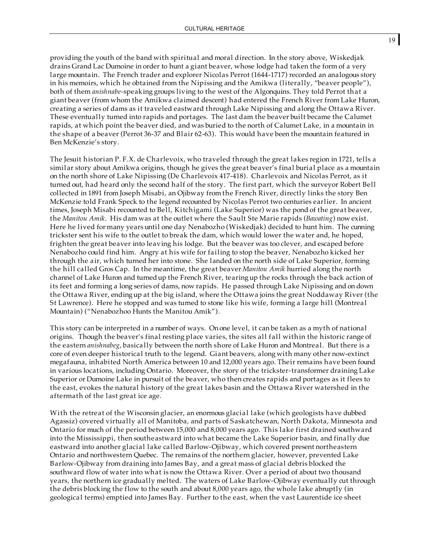providing the youth of the band with spiritual and moral direction. In the story above, Wiskedjak drains Grand Lac Dumoine in order to hunt a giant beaver, whose lodge had taken the form of a very large mountain. The French trader and explorer Nicolas Perrot (1644-1717) recorded an analogous story in his memoirs, which he obtained from the Nipissing and the Amikwa (literally, "beaver people"), both of them *anishnabe*-speaking groups living to the west of the Algonquins. They told Perrot that a giant beaver (from whom the Amikwa claimed descent) had entered the French River from Lake Huron, creating a series of dams as it traveled eastward through Lake Nipissing and along the Ottawa River. These eventually turned into rapids and portages. The last dam the beaver built became the Calumet rapids, at which point the beaver died, and was buried to the north of Calumet Lake, in a mountain in the shape of a beaver (Perrot 36-37 and Blair 62-63). This would have been the mountain featured in Ben McKenzie's story.

The Jesuit historian P. F.X. de Charlevoix, who traveled through the great lakes region in 1721, tells a similar story about Amikwa origins, though he gives the great beaver's final burial place as a mountain on the north shore of Lake Nipissing (De Charlevoix 417-418). Charlevoix and Nicolas Perrot, as it turned out, had heard only the second half of the story. The first part, which the surveyor Robert Bell collected in 1891 from Joseph Misabi, an Ojibway from the French River, directly links the story Ben McKenzie told Frank Speck to the legend recounted by Nicolas Perrot two centuries earlier. In ancient times, Joseph Misabi recounted to Bell, Kitchigami (Lake Superior) was the pond of the great beaver, the *Manitou Amik*. His dam was at the outlet where the Sault Ste Marie rapids (*Bawating*) now exist. Here he lived for many years until one day Nenabozho (Wiskedjak) decided to hunt him. The cunning trickster sent his wife to the outlet to break the dam, which would lower the water and, he hoped, frighten the great beaver into leaving his lodge. But the beaver was too clever, and escaped before Nenabozho could find him. Angry at his wife for failing to stop the beaver, Nenabozho kicked her through the air, which turned her into stone. She landed on the north side of Lake Superior, forming the hill called Gros Cap. In the meantime, the great beaver *Manitou Amik* hurried along the north channel of Lake Huron and turnedup the French River, tearing up the rocks through the back action of its feet and forming a long series of dams, now rapids. He passed through Lake Nipissing and on down the Ottawa River, ending up at the big island, where the Ottawa joins the great Noddaway River (the St Lawrence). Here he stopped and was turned to stone like his wife, forming a large hill (Montreal Mountain) ("Nenabozhoo Hunts the Manitou Amik").

This story can be interpreted in a number of ways. On one level, it can be taken as a myth of national origins. Though the beaver's final resting place varies, the sites all fall within the historic range of the eastern *anishnabeg*, basically between the north shore of Lake Huron and Montreal. But there is a core of even deeper historical truth to the legend. Giant beavers, along with many other now-extinct megafauna, inhabited North America between 10 and 12,000 years ago. Their remains have been found in various locations, including Ontario. Moreover, the story of the trickster-transformer draining Lake Superior or Dumoine Lake in pursuit of the beaver, who then creates rapids and portages as it flees to the east, evokes the natural history of the great lakes basin and the Ottawa River watershed in the aftermath of the last great ice age.

With the retreat of the Wisconsin glacier, an enormous glacial lake (which geologists have dubbed Agassiz) covered virtually all of Manitoba, and parts of Saskatchewan, North Dakota, Minnesota and Ontario for much of the period between 15,000 and 8,000 years ago. This lake first drained southward into the Mississippi, then southeastward into what became the Lake Superior basin, and finally due eastward into another glacial lake called Barlow-Ojibway, which covered present northeastern Ontario and northwestern Quebec. The remains of the northern glacier, however, prevented Lake Barlow-Ojibway from draining into James Bay, and a great mass of glacial debris blocked the southward flow of water into what is now the Ottawa River. Over a period of about two thousand years, the northern ice gradually melted. The waters of Lake Barlow-Ojibway eventually cut through the debris blocking the flow to the south and about 8,000 years ago, the whole lake abruptly (in geological terms) emptied into James Bay. Further to the east, when the vast Laurentide ice sheet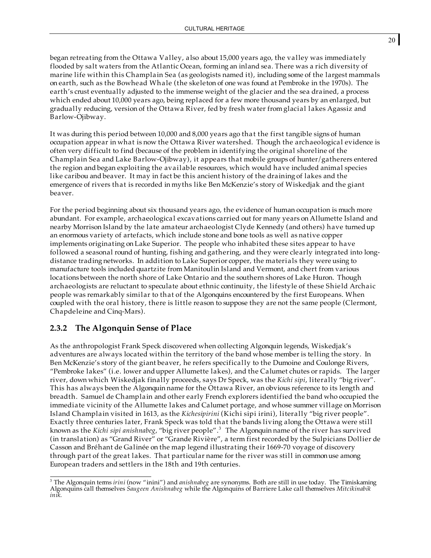began retreating from the Ottawa Valley, also about 15,000 years ago, the valley was immediately flooded by salt waters from the Atlantic Ocean, forming an inland sea. There was a rich diversity of marine life within this Champlain Sea (as geologists named it), including some of the largest mammals on earth, such as the Bowhead Whale (the skeleton of one was found at Pembroke in the 1970s). The earth's crust eventually adjusted to the immense weight of the glacier and the sea drained, a process which ended about 10,000 years ago, being replaced for a few more thousand years by an enlarged, but gradually reducing, version of the Ottawa River, fed by fresh water from glacial lakes Agassiz and Barlow-Ojibway.

It was during this period between 10,000 and 8,000 years ago that the first tangible signs of human occupation appear in what is now the Ottawa River watershed. Though the archaeological evidence is often very difficult to find (because of the problem in identifying the original shoreline of the Champlain Sea and Lake Barlow-Ojibway), it appears that mobile groups of hunter/gatherers entered the region and began exploiting the available resources, which would have included animal species like caribou and beaver. It may in fact be this ancient history of the draining of lakes and the emergence of rivers that is recorded in myths like Ben McKenzie's story of Wiskedjak and the giant beaver.

For the period beginning about six thousand years ago, the evidence of human occupation is much more abundant. For example, archaeological excavations carried out for many years on Allumette Island and nearby Morrison Island by the late amateur archaeologist Clyde Kennedy (and others) have turnedup an enormous variety of artefacts, which include stone and bone tools as well as native copper implements originating on Lake Superior. The people who inhabited these sites appear to have followed a seasonal round of hunting, fishing and gathering, and they were clearly integrated into longdistance trading networks. In addition to Lake Superior copper, the materials they were using to manufacture tools included quartzite from Manitoulin Island and Vermont, and chert from various locations between the north shore of Lake Ontario and the southern shores of Lake Huron. Though archaeologists are reluctant to speculate about ethnic continuity, the lifestyle of these Shield Archaic people was remarkably similar to that of the Algonquins encountered by the first Europeans. When coupled with the oral history, there is little reason to suppose they are not the same people (Clermont, Chapdeleine and Cinq-Mars).

#### **2.3.2 The Algonquin Sense of Place**

As the anthropologist Frank Speck discovered when collecting Algonquin legends, Wiskedjak's adventures are always located within the territory of the band whose member is telling the story. In Ben McKenzie's story of the giant beaver, he refers specifically to the Dumoine and Coulonge Rivers, "Pembroke lakes" (i.e. lower andupper Allumette lakes), and the Calumet chutes or rapids. The larger river, down which Wiskedjak finally proceeds, says Dr Speck, was the *Kichi sipi*, literally "big river". This has always been the Algonquin name for the Ottawa River, an obvious reference to its length and breadth. Samuel de Champlain and other early French explorers identified the band who occupied the immediate vicinity of the Allumette lakes and Calumet portage, and whose summer village onMorrison Island Champlain visited in 1613, as the *Kichesipirini* (Kichi sipi irini), literally "big river people". Exactly three centuries later, Frank Speck was told that the bands living along the Ottawa were still known as the *Kichi sipi anishnabeg*, "big river people". <sup>3</sup> The Algonquin name of the river has survived (in translation) as "Grand River" or "Grande Rivière", a term first recorded by the Sulpicians Dollier de Casson and Bréhant de Galinée on the map legend illustrating their 1669-70 voyage of discovery through part of the great lakes. That particular name for the river was still in commonuse among European traders and settlers in the 18th and 19th centuries.

20

<sup>3</sup> The Algonquin terms *irini* (now "inini") and *anishnabeg* are synonyms. Both are still in use today. The Timiskaming Algonquins call themselves *Saugeen Anishnabeg* while the Algonquins of Barriere Lake call themselves *Mitcikinabik inik*.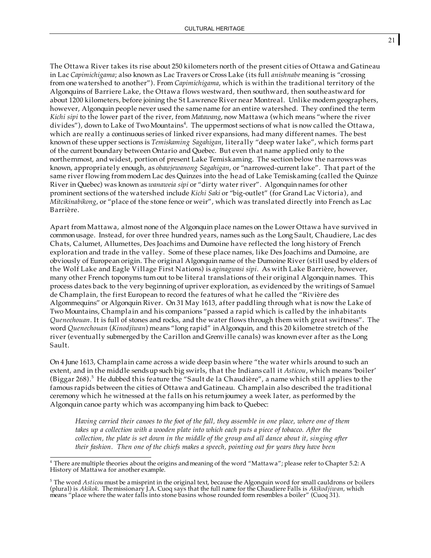The Ottawa River takes its rise about 250 kilometers north of the present cities of Ottawa and Gatineau in Lac *Capimichigama*; also known as Lac Travers or Cross Lake (its full *anishnabe* meaning is "crossing from one watershed to another"). From *Capimichigama*, which is within the traditional territory of the Algonquins of Barriere Lake, the Ottawa flows westward, then southward, then southeastward for about 1200 kilometers, before joining the St Lawrence River near Montreal. Unlike modern geographers, however, Algonquin people never used the same name for an entire watershed. They confined the term *Kichi sipi* to the lower part of the river, from *Matawang*, now Mattawa (which means "where the river divides"), down to Lake of Two Mountains<sup>4</sup>. The uppermost sections of what is now called the Ottawa, which are really a continuous series of linked river expansions, had many different names. The best known of these upper sections is *Temiskaming Sagahigan*, literally "deep water lake", which forms part of the current boundary between Ontario and Quebec. But even that name applied only to the northernmost, and widest, portion of present Lake Temiskaming. The section below the narrows was known, appropriately enough, as *obawjewanong Sagahigan*, or "narrowed-current lake". That part of the same river flowing frommodern Lac des Quinzes into the head of Lake Temiskaming (called the Quinze River in Quebec) was known as *wanaweia sipi* or "dirty water river". Algonquin names for other prominent sections of the watershed include *Kichi Saki* or "big-outlet" (for Grand Lac Victoria), and *Mitcikinabikong*, or "place of the stone fence or weir", which was translated directly into French as Lac Barrière.

Apart from Mattawa, almost none of the Algonquin place names on the Lower Ottawa have survived in commonusage. Instead, for over three hundred years, names such as the Long Sault, Chaudiere, Lac des Chats, Calumet, Allumettes, Des Joachims and Dumoine have reflected the long history of French exploration and trade in the valley. Some of these place names, like Des Joachims and Dumoine, are obviously of European origin. The original Algonquin name of the Dumoine River (still used by elders of the Wolf Lake and Eagle Village First Nations) is *aginagwasi sipi*. As with Lake Barrière, however, many other French toponyms turn out to be literal translations of their original Algonquin names. This process dates back to the very beginning of upriver exploration, as evidenced by the writings of Samuel de Champlain, the first European to record the features of what he called the "Rivière des Algommequins" or Algonquin River. On 31 May 1613, after paddling through what is now the Lake of Two Mountains, Champlain and his companions "passed a rapid which is called by the inhabitants *Quenechouan*. It is full of stones and rocks, and the water flows through them with great swiftness". The word *Quenechouan* (*Kinodjiwan*) means "long rapid" in Algonquin, and this 20 kilometre stretch of the river (eventually submerged by the Carillon and Grenville canals) was known ever after as the Long Sault.

On 4 June 1613, Champlain came across a wide deep basin where "the water whirls around to such an extent, and in the middle sendsup such big swirls, that the Indians call it *Asticou*, which means 'boiler' (Biggar 268). <sup>5</sup> He dubbed this feature the "Sault de la Chaudière", a name which still applies to the famous rapids between the cities of Ottawa and Gatineau. Champlain also described the traditional ceremony which he witnessed at the falls on his return journey a week later, as performed by the Algonquin canoe party which was accompanying him back to Quebec:

Having carried their canoes to the foot of the fall, they assemble in one place, where one of them *takes up a collection with a wooden plate into which each puts a piece of tobacco. After the* collection, the plate is set down in the middle of the group and all dance about it, singing after *their fashion. Then one of the chiefs makes a speech, pointing out for years they have been*

21

<sup>&</sup>lt;sup>4</sup> There are multiple theories about the origins and meaning of the word "Mattawa"; please refer to Chapter 5.2: A History of Mattawa for another example.

<sup>5</sup> The word *Asticou*must be a misprint in the original text, because the Algonquin word for small cauldrons or boilers (plural) is *Akikok*. Themissionary J.A. Cuoq says that the full name for the Chaudiere Falls is *Akikodjiwan*, which means "place where the water falls into stone basins whose rounded form resembles a boiler" (Cuoq 31).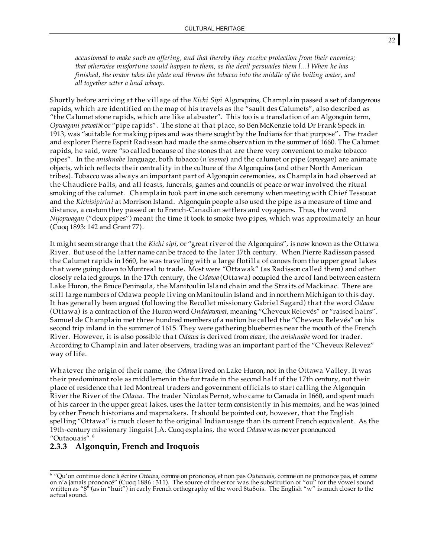*accustomed to make such an offering, and that thereby they receive protection from their enemies; that otherwise misfortune would happen to them, as the devil persuades them [...] When he has* finished, the orator takes the plate and throws the tobacco into the middle of the boiling water, and *all together utter a loud whoop.*

Shortly before arriving at the village of the *Kichi Sipi* Algonquins, Champlain passed a set of dangerous rapids, which are identified on the map of his travels as the "sault des Calumets", also described as "the Calumet stone rapids, which are like alabaster". This too is a translation of an Algonquin term, *Opwagani pawatik* or "pipe rapids". The stone at that place, so Ben McKenzie told Dr Frank Speck in 1913, was "suitable for making pipes and was there sought by the Indians for that purpose". The trader and explorer Pierre Esprit Radisson had made the same observation in the summer of 1660. The Calumet rapids, he said, were "so called because of the stones that are there very convenient to make tobacco pipes". In the *anishnabe* language, both tobacco (*n'asema*) and the calumet or pipe (*opwagan*) are animate objects, which reflects their centrality in the culture of the Algonquins (and other North American tribes). Tobacco was always an important part of Algonquin ceremonies, as Champlain had observed at the Chaudiere Falls, and all feasts, funerals, games and councils of peace or war involved the ritual smoking of the calumet. Champlain took part in one such ceremony when meeting with Chief Tessouat and the *Kichisipirini* at Morrison Island. Algonquin people also used the pipe as a measure of time and distance, a custom they passed on to French-Canadian settlers and voyageurs. Thus, the word *Nijopwagan* ("deux pipes") meant the time it took to smoke two pipes, which was approximately an hour (Cuoq 1893: 142 and Grant 77).

It might seem strange that the *Kichi sipi*, or "great river of the Algonquins", is now known as the Ottawa River. But use of the latter name can be traced to the later 17th century. When Pierre Radisson passed the Calumet rapids in 1660, he was traveling with a large flotilla of canoes from the upper great lakes that were going down to Montreal to trade. Most were "Ottawak" (as Radisson called them) and other closely related groups. In the 17th century, the *Odawa* (Ottawa) occupied the arc of land between eastern Lake Huron, the Bruce Peninsula, the Manitoulin Island chain and the Straits of Mackinac. There are still large numbers of Odawa people living onManitoulin Island and in northern Michigan to this day. It has generally been argued (following the Recollet missionary Gabriel Sagard) that the word *Odawa* (Ottawa) is a contraction of the Huron word *Ondatawwat*, meaning "Cheveux Relevés" or "raised hairs". Samuel de Champlain met three hundred members of a nation he called the "Cheveux Relevés" on his second trip inland in the summer of 1615. They were gathering blueberries near the mouth of the French River. However, it is also possible that *Odawa* is derived from *atawe*, the *anishnabe* word for trader. According to Champlain and later observers, trading was an important part of the "Cheveux Relevez" way of life.

Whatever the origin of their name, the *Odawa* lived on Lake Huron, not in the Ottawa Valley. It was their predominant role as middlemen in the fur trade in the second half of the 17th century, not their place of residence that led Montreal traders and government officials to start calling the Algonquin River the River of the *Odawa*. The trader Nicolas Perrot, who came to Canada in 1660, and spent much of his career in the upper great lakes, uses the latter term consistently in his memoirs, and he was joined by other French historians and mapmakers. It should be pointed out, however, that the English spelling "Ottawa" is much closer to the original Indianusage than its current French equivalent. As the 19th-century missionary linguist J.A. Cuoq explains, the word *Odawa* was never pronounced "Outaouais". 6

# **2.3.3 Algonquin, French and Iroquois**

<sup>6</sup> "Qu'on continue donc <sup>à</sup> écrire *Ottawa*, comme on prononce, et non pas *Outaouais*, comme on ne prononce pas, et comme on n'a jamais prononcé" (Cuoq 1886 : 311). The source of the error was the substitution of "ou" for the vowel sound written as "8<sup>"</sup> (as in "huit") in early French orthography of the word 8ta8ois. The English "w" is much closer to the actual sound.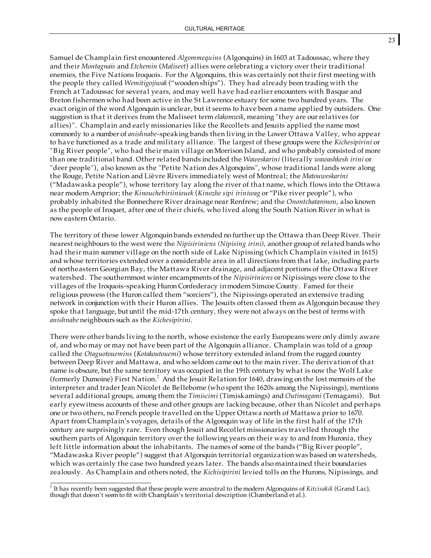Samuel de Champlain first encountered *Algommequins* (Algonquins) in 1603 at Tadoussac, where they and their *Montagnais* and *Etchemin* (*Maliseet*) allies were celebrating a victory over their traditional enemies, the Five Nations Iroquois. For the Algonquins, this was certainly not their first meeting with the people they called *Wemitigojiwak* ("wooden ships"). They had already been trading with the French at Tadoussac for several years, and may well have had earlier encounters with Basque and Breton fishermen who had been active in the St Lawrence estuary for some two hundred years. The exact origin of the word Algonquin is unclear, but it seems to have been a name applied by outsiders. One suggestion is that it derives from the Maliseet term *elakomwik*, meaning "they are ourrelatives (or allies)". Champlain and early missionaries like the Recollets and Jesuits applied the name most commonly to a number of *anishnabe*-speaking bands then living in the Lower Ottawa Valley, who appear to have functioned as a trade and military alliance. The largest of these groups were the *Kichesipirini* or "Big River people", who had their main village onMorrison Island, and who probably consisted of more than one traditional band. Other related bands included the *Waweskarini* (literally *wawashkesh irini* or "deer people"), also known as the "Petite Nation des Algonquins", whose traditional lands were along the Rouge, Petite Nation and Lièvre Rivers immediately west of Montreal; the *Matouweskarini* ("Madawaska people"), whose territory lay along the river of that name, which flows into the Ottawa near modern Arnprior; the *Kinouchebiriiniouek* (*Kinozhe sipi iriniwag* or "Pike river people"), who probably inhabited the Bonnechere River drainage near Renfrew; and the *Onontchataronon*, also known as the people of Iroquet, after one of their chiefs, who lived along the South Nation River in what is now eastern Ontario.

The territory of these lower Algonquin bands extended no further up the Ottawa than Deep River. Their nearest neighbours to the west were the *Nipisiriniens (Nipising irini)*, another group of related bands who had their main summer village on the north side of Lake Nipissing (which Champlain visited in 1615) and whose territories extended over a considerable area in all directions from that lake, including parts of northeastern Georgian Bay, the Mattawa River drainage, and adjacent portions of the Ottawa River watershed. The southernmost winter encampments of the *Nipisiriniens* or Nipissings were close to the villages of the Iroquois-speaking Huron Confederacy inmodern Simcoe County. Famed for their religious prowess (the Huron called them "sorciers"), the Nipissings operated an extensive trading network in conjunction with their Huron allies. The Jesuits often classed them as Algonquin because they spoke that language, but until the mid-17th century, they were not always on the best of terms with *anishnabe* neighbours such as the *Kichesipirini*.

There were other bands living to the north, whose existence the early Europeans were only dimly aware of, and who may or may not have been part of the Algonquin alliance. Champlain was told of a group called the *Otaguotouemins* (*Kotakoutouemi*) whose territory extended inland from the rugged country between Deep River and Mattawa, and who seldom came out to the main river. The derivation of that name is obscure, but the same territory was occupied in the 19th century by what is now the Wolf Lake (formerly Dumoine) First Nation.<sup>7</sup> And the Jesuit Relation for 1640, drawing on the lost memoirs of the interpreter and trader Jean Nicolet de Belleborne (who spent the 1620s among the Nipissings), mentions several additional groups, among them the *Timiscimi* (Timiskamings) and *Outimagami* (Temagami). But early eyewitness accounts of these and other groups are lacking because, other than Nicolet and perhaps one or two others, no French people travelled on the Upper Ottawa north of Mattawa prior to 1670. Apart from Champlain's voyages, details of the Algonquin way of life in the first half of the 17th century are surprisingly rare. Even though Jesuit and Recollet missionaries travelled through the southern parts of Algonquin territory over the following years on their way to and from Huronia, they left little information about the inhabitants. The names of some of the bands ("Big River people", "Madawaska River people") suggest that Algonquin territorial organization was based on watersheds, which was certainly the case two hundred years later. The bands also maintained their boundaries zealously. As Champlain and others noted, the *Kichisipirini* levied tolls on the Hurons, Nipissings, and

<sup>7</sup> It has recently been suggested that these people were ancestral to themodern Algonquins of *Kitcisakik* (Grand Lac), though that doesn't seemto fit with Champlain's territorial description (Chamberland et al.).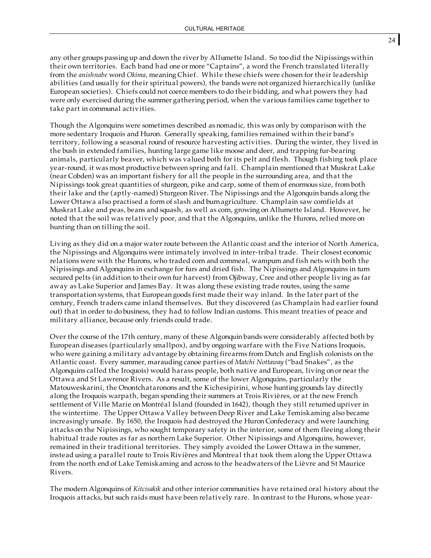any other groups passing up and down the river by Allumette Island. So too did the Nipissings within their own territories. Each band had one or more "Captains", a word the French translated literally from the *anishnabe* word *Okima*, meaning Chief. Whil e these chiefs were chosen for their leadership abilities (and usually for their spiritual powers), the bands were not organized hierarchically (unlike European societies). Chiefs could not coerce members to do their bidding, and what powers they had were only exercised during the summer gathering period, when the various families came together to take part in communal activities.

Though the Algonquins were sometimes described as nomadic, this was only by comparison with the more sedentary Iroquois and Huron. Generally speaking, families remained within their band's territory, following a seasonal round of resource harvesting activities. During the winter, they lived in the bush in extended families, hunting large game like moose and deer, and trapping fur-bearing animals, particularly beaver, which was valued both for its pelt and flesh. Though fishing took place year-round, it was most productive between spring and fall. Champlain mentioned that Muskrat Lake (near Cobden) was an important fishery for all the people in the surrounding area, and that the Nipissings took great quantities of sturgeon, pike and carp, some of them of enormous size, from both their lake and the (aptly-named) Sturgeon River. The Nipissings and the Algonquin bands along the Lower Ottawa also practised a form of slash and burnagriculture. Champlain saw cornfields at Muskrat Lake and peas, beans and squash, as well as corn, growing on Allumette Island. However, he noted that the soil was relatively poor, and that the Algonquins, unlike the Hurons, relied more on hunting than on tilling the soil.

Living as they did on a major water route between the Atlantic coast and the interior of North America, the Nipissings and Algonquins were intimately involved in inter-tribal trade. Their closest economic relations were with the Hurons, who traded corn and cornmeal, wampum and fish nets with both the Nipissings and Algonquins in exchange for furs and dried fish. The Nipissings and Algonquins in turn secured pelts (in addition to their own fur harvest) from Ojibway, Cree and other people living as far away as Lake Superior and James Bay. It was along these existing trade routes, using the same transportation systems, that European goods first made their way inland. In the later part of the century, French traders came inland themselves. But they discovered (as Champlain had earlier found out) that in order to do business, they had to follow Indian customs. This meant treaties of peace and military alliance, because only friends could trade.

Over the course of the 17th century, many of these Algonquin bands were considerably affected both by European diseases (particularly smallpox), and by ongoing warfare with the Five Nations Iroquois, who were gaining a military advantage by obtaining firearms from Dutch and English colonists on the Atlantic coast. Every summer, marauding canoe parties of *Matchi Nottaway* ("bad Snakes", as the Algonquins called the Iroquois) would harass people, both native and European, living on or near the Ottawa and St Lawrence Rivers. As a result, some of the lower Algonquins, particularly the Matouweskarini, the Onontchataronons and the Kichesipirini, whose hunting grounds lay directly along the Iroquois warpath, began spending their summers at Trois Rivières, or at the new French settlement of Ville Marie on Montréal Island (founded in 1642), though they still returnedupriver in the wintertime. The Upper Ottawa Valley between Deep River and Lake Temiskaming also became increasingly unsafe. By 1650, the Iroquois had destroyed the Huron Confederacy and were launching attacks on the Nipissings, who sought temporary safety in the interior, some of them fleeing along their habitual trade routes as far as northern Lake Superior. Other Nipissings and Algonquins, however, remained in their traditional territories. They simply avoided the Lower Ottawa in the summer, instead using a parallel route to Trois Rivières and Montreal that took them along the Upper Ottawa from the north end of Lake Temiskaming and across to the headwaters of the Lièvre and St Maurice Rivers.

The modern Algonquins of *Kitcisakik* and other interior communities have retained oral history about the Iroquois attacks, but such raids must have been relatively rare. In contrast to the Hurons, whose year-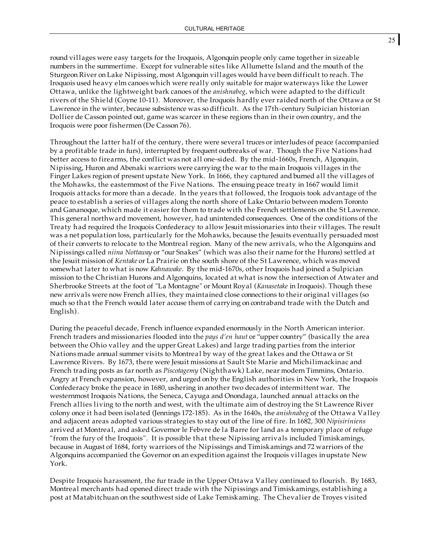round villages were easy targets for the Iroquois, Algonquin people only came together in sizeable numbers in the summertime. Except for vulnerable sites like Allumette Island and the mouth of the Sturgeon River on Lake Nipissing, most Algonquin villages would have been difficult to reach. The Iroquois used heavy elm canoes which were really only suitable for major waterways like the Lower Ottawa, unlike the lightweight bark canoes of the *anishnabeg*, which were adapted to the difficult rivers of the Shield (Coyne 10-11). Moreover, the Iroquois hardly ever raided north of the Ottawa or St Lawrence in the winter, because subsistence was so difficult. As the 17th-century Sulpician historian Dollier de Casson pointed out, game was scarcer in these regions than in their own country, and the Iroquois were poor fishermen (De Casson 76).

Throughout the latter half of the century, there were several truces or interludes of peace (accompanied by a profitable trade in furs), interrupted by frequent outbreaks of war. Though the Five Nations had better access to firearms, the conflict was not all one-sided. By the mid-1660s, French, Algonquin, Nipissing, Huron and Abenaki warriors were carrying the war to the main Iroquois villages in the Finger Lakes region of present upstate New York. In 1666, they captured and burned all the villages of the Mohawks, the easternmost of the Five Nations. The ensuing peace treaty in 1667 would limit Iroquois attacks for more than a decade. In the years that followed, the Iroquois took advantage of the peace to establish a series of villages along the north shore of Lake Ontario between modern Toronto and Gananoque, which made it easier for them to trade with the French settlements on the St Lawrence. This general northward movement, however, had unintended consequences. One of the conditions of the Treaty had required the Iroquois Confederacy to allow Jesuit missionaries into their villages. The result was a net population loss, particularly for the Mohawks, because the Jesuits eventually persuaded most of their converts to relocate to the Montreal region. Many of the new arrivals, who the Algonquins and Nipissings called *niina Nottaway* or "our Snakes" (which was also their name for the Hurons) settled at the Jesuit mission of *Kentake* or La Prairie on the south shore of the St Lawrence, which was moved somewhat later to what is now *Kahnawake*. By the mid-1670s, other Iroquois had joined a Sulpician mission to the Christian Hurons and Algonquins, located at what is now the intersection of Atwater and Sherbrooke Streets at the foot of "La Montagne" or Mount Royal (*Kanasetake* in Iroquois). Though these new arrivals were now French allies, they maintained close connections to their original villages (so much so that the French would later accuse them of carrying on contraband trade with the Dutch and English).

During the peaceful decade, French influence expanded enormously in the North American interior. French traders and missionaries flooded into the *pays d'en haut* or "upper country" (basically the area between the Ohio valley and the upper Great Lakes) and large trading parties from the interior Nations made annual summer visits to Montreal by way of the great lakes and the Ottawa or St Lawrence Rivers. By 1673, there were Jesuit missions at Sault Ste Marie and Michilimackinac and French trading posts as far north as *Piscotagemy* (Nighthawk) Lake, near modern Timmins, Ontario. Angry at French expansion, however, andurged on by the English authorities in New York, the Iroquois Confederacy broke the peace in 1680, ushering in another two decades of intermittent war. The westernmost Iroquois Nations, the Seneca, Cayuga and Onondaga, launched annual attacks on the French allies living to the north and west, with the ultimate aim of destroying the St Lawrence River colony once it had been isolated (Jennings 172-185). As in the 1640s, the *anishnabeg* of the Ottawa Valley and adjacent areas adopted various strategies to stay out of the line of fire. In 1682, 300 *Nipisiriniens* arrived at Montreal, and asked Governor le Febvre de la Barre for land as a temporary place of refuge "from the fury of the Iroquois". It is possible that these Nipissing arrivals included Timiskamings, because in August of 1684, forty warriors of the Nipissings and Timiskamings and 72 warriors of the Algonquins accompanied the Governor on an expedition against the Iroquois villages inupstate New York.

Despite Iroquois harassment, the fur trade in the Upper Ottawa Valley continued to flourish. By 1683, Montreal merchants had opened direct trade with the Nipissings and Timiskamings, establishing a post at Matabitchuan on the southwest side of Lake Temiskaming. The Chevalier de Troyes visited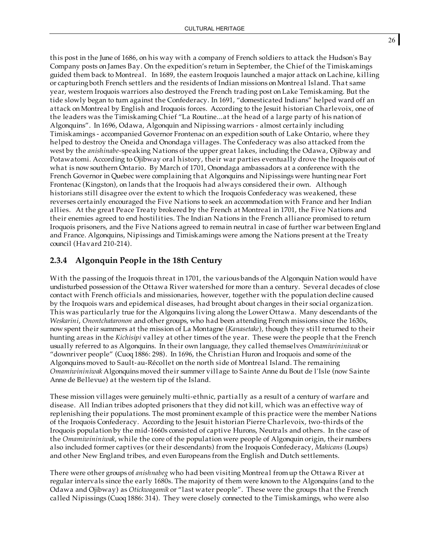this post in the June of 1686, on his way with a company of French soldiers to attack the Hudson's Bay Company posts on James Bay. On the expedition's return in September, the Chief of the Timiskamings guided them back to Montreal. In 1689, the eastern Iroquois launched a major attack on Lachine, killing or capturing both French settlers and the residents of Indian missions onMontreal Island. That same year, western Iroquois warriors also destroyed the French trading post on Lake Temiskaming. But the tide slowly began to turn against the Confederacy. In 1691, "domesticated Indians" helped ward off an attack on Montreal by English and Iroquois forces. According to the Jesuit historian Charlevoix, one of the leaders was the Timiskaming Chief "La Routine...at the head of a large party of his nation of Algonquins". In 1696, Odawa, Algonquin and Nipissing warriors - almost certainly including Timiskamings - accompanied Governor Frontenac on an expedition south of Lake Ontario, where they helped to destroy the Oneida and Onondaga villages. The Confederacy was also attacked from the west by the *anishinabe*-speaking Nations of the upper great lakes, including the Odawa, Ojibway and Potawatomi. According to Ojibway oral history, their war parties eventually drove the Iroquois out of what is now southern Ontario. By March of 1701, Onondaga ambassadors at a conference with the French Governor in Quebec were complaining that Algonquins and Nipissings were hunting near Fort Frontenac (Kingston), on lands that the Iroquois had always considered their own. Although historians still disagree over the extent to which the Iroquois Confederacy was weakened, these reverses certainly encouraged the Five Nations to seek an accommodation with France and her Indian allies. At the great Peace Treaty brokered by the French at Montreal in 1701, the Five Nations and their enemies agreed to end hostilities. The Indian Nations in the French alliance promised to return Iroquois prisoners, and the Five Nations agreed to remain neutral in case of further war between England and France. Algonquins, Nipissings and Timiskamings were among the Nations present at the Treaty council (Havard 210-214).

### **2.3.4 Algonquin People in the 18th Century**

With the passing of the Iroquois threat in 1701, the various bands of the Algonquin Nation would have undisturbed possession of the Ottawa River watershed for more than a century. Several decades of close contact with French officials and missionaries, however, together with the population decline caused by the Iroquois wars and epidemical diseases, had brought about changes in their social organization. This was particularly true for the Algonquins living along the Lower Ottawa. Many descendants of the *Weskarini*, *Onontchataronon* and other groups, who had been attending French missions since the 1630s, now spent their summers at the mission of La Montagne (*Kanasetake*), though they still returned to their hunting areas in the *Kichisipi* valley at other times of the year. These were the people that the French usually referred to as Algonquins. In their own language, they called themselves *Omamiwininiwak* or "downriver people" (Cuoq 1886: 298). In 1696, the Christian Huron and Iroquois and some of the Algonquins moved to Sault-au-Récollet on the north side of Montreal Island. The remaining *Omamiwininiwak* Algonquins moved their summer village to Sainte Anne du Bout de l'Isle (now Sainte Anne de Bellevue) at the western tip of the Island.

These mission villages were genuinely multi-ethnic, partially as a result of a century of warfare and disease. All Indian tribes adopted prisoners that they did not kill, which was an effective way of replenishing their populations. The most prominent example of this practice were the member Nations of the Iroquois Confederacy. According to the Jesuit historian Pierre Charlevoix, two-thirds of the Iroquois population by the mid-1660s consisted of captive Hurons, Neutrals and others. In the case of the *Omamiwininiwak*, while the core of the population were people of Algonquin origin, their numbers also included former captives (or their descendants) from the Iroquois Confederacy, *Mahicans* (Loups) and other New England tribes, and even Europeans from the English and Dutch settlements.

There were other groups of *anishnabeg* who had been visiting Montreal fromup the Ottawa River at regular intervals since the early 1680s. The majority of them were known to the Algonquins (and to the Odawa and Ojibway) as *Otickwagamik* or "last water people". These were the groups that the French called Nipissings (Cuoq 1886: 314). They were closely connected to the Timiskamings, who were also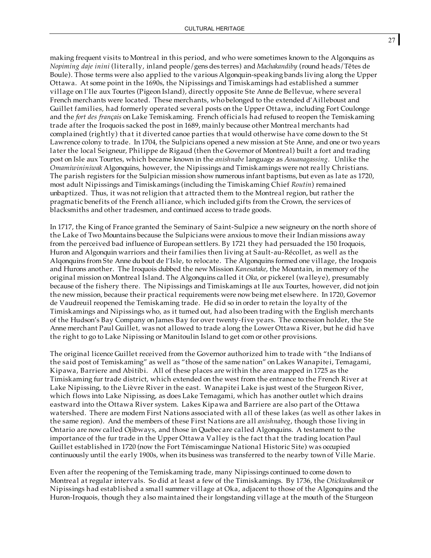making frequent visits to Montreal in this period, and who were sometimes known to the Algonquins as *Nopiming daje inini* (literally, inland people/gens des terres) and *Machakandiby* (round heads/Têtes de Boule). Those terms were also applied to the various Algonquin-speaking bands living along the Upper Ottawa. At some point in the 1690s, the Nipissings and Timiskamings had established a summer village on l'Ile aux Tourtes (Pigeon Island), directly opposite Ste Anne de Bellevue, where several French merchants were located. These merchants, who belonged to the extended d'Ailleboust and Guillet families, had formerly operated several posts on the Upper Ottawa, including Fort Coulonge and the *fort des français* on Lake Temiskaming. French officials had refused to reopen the Temiskaming trade after the Iroquois sacked the post in 1689, mainly because other Montreal merchants had complained (rightly) that it diverted canoe parties that would otherwise have come down to the St Lawrence colony to trade. In 1704, the Sulpicians opened a new mission at Ste Anne, and one or two years later the local Seigneur, Philippe de Rigaud (then the Governor of Montreal) built a fort and trading post on Isle aux Tourtes, which became known in the *anishnabe* language as *Aouanagassing*. Unlike the *Omamiwininiwak* Algonquins, however, the Nipissings and Timiskamings were not really Christians. The parish registers for the Sulpician mission show numerous infant baptisms, but even as late as 1720, most adult Nipissings and Timiskamings (including the Timiskaming Chief *Routin*) remained unbaptized. Thus, it was not religion that attracted them to the Montreal region, but rather the pragmatic benefits of the French alliance, which included gifts from the Crown, the services of blacksmiths and other tradesmen, and continued access to trade goods.

In 1717, the King of France granted the Seminary of Saint-Sulpice a new seigneury on the north shore of the Lake of Two Mountains because the Sulpicians were anxious to move their Indian missions away from the perceived bad influence of European settlers. By 1721 they had persuaded the 150 Iroquois, Huron and Algonquin warriors and their families then living at Sault-au-Récollet, as well as the Alqonquins from Ste Anne du bout de l'Isle, to relocate. The Algonquins formed one village, the Iroquois and Hurons another. The Iroquois dubbed the new Mission *Kanesatake*, the Mountain, in memory of the original mission onMontreal Island. The Algonquins called it *Oka*, or pickerel (walleye), presumably because of the fishery there. The Nipissings and Timiskamings at Ile aux Tourtes, however, did not join the new mission, because their practical requirements were now being met elsewhere. In 1720, Governor de Vaudreuil reopened the Temiskaming trade. He did so in order to retain the loyalty of the Timiskamings and Nipissings who, as it turned out, had also been trading with the English merchants of the Hudson's Bay Company on James Bay for over twenty-five years. The concession holder, the Ste Anne merchant Paul Guillet, was not allowed to trade along the Lower Ottawa River, but he did have the right to go to Lake Nipissing or Manitoulin Island to get corn or other provisions.

The original licence Guillet received from the Governor authorized him to trade with "the Indians of the said post of Temiskaming" as well as "those of the same nation" on Lakes Wanapitei, Temagami, Kipawa, Barriere and Abitibi. All of these places are within the area mapped in 1725 as the Timiskaming fur trade district, which extended on the west from the entrance to the French River at Lake Nipissing, to the Lièvre River in the east. Wanapitei Lake is just west of the Sturgeon River, which flows into Lake Nipissing, as does Lake Temagami, which has another outlet which drains eastward into the Ottawa River system. Lakes Kipawa and Barriere are also part of the Ottawa watershed. There are modern First Nations associated with all of these lakes (as well as other lakes in the same region). And the members of these First Nations are all *anishnabeg*, though those living in Ontario are now called Ojibways, and those in Quebec are called Algonquins. A testament to the importance of the fur trade in the Upper Ottawa Valley is the fact that the trading location Paul Guillet established in 1720 (now the Fort Témiscamingue National Historic Site) was occupied continuously until the early 1900s, when its business was transferred to the nearby town of Ville Marie.

Even after the reopening of the Temiskaming trade, many Nipissings continued to come down to Montreal at regular intervals. So did at least a few of the Timiskamings. By 1736, the *Otickwakamik* or Nipissings had established a small summer village at Oka, adjacent to those of the Algonquins and the Huron-Iroquois, though they also maintained their longstanding village at the mouth of the Sturgeon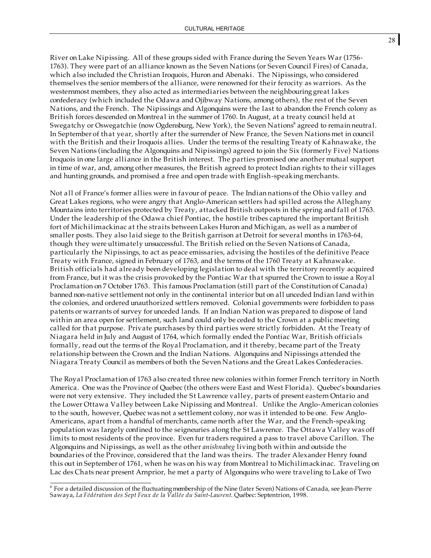River on Lake Nipissing. All of these groups sided with France during the Seven Years War (1756- 1763). They were part of an alliance known as the Seven Nations (or Seven Council Fires) of Canada, which also included the Christian Iroquois, Huron and Abenaki. The Nipissings, who considered themselves the senior members of the alliance, were renowned for their ferocity as warriors. As the westernmost members, they also acted as intermediaries between the neighbouring great lakes confederacy (which included the Odawa and Ojibway Nations, among others), the rest of the Seven Nations, and the French. The Nipissings and Algonquins were the last to abandon the French colony as British forces descended onMontreal in the summer of 1760. In August, at a treaty council held at Swegatchy or Oswegatchie (now Ogdensburg, New York), the Seven Nations<sup>8</sup> agreed to remain neutral. In September of that year, shortly after the surrender of New France, the Seven Nations met in council with the British and their Iroquois allies. Under the terms of the resulting Treaty of Kahnawake, the Seven Nations (including the Algonquins and Nipissings) agreed to join the Six (formerly Five) Nations Iroquois in one large alliance in the British interest. The parties promised one another mutual support in time of war, and, among other measures, the British agreed to protect Indian rights to their villages and hunting grounds, and promised a free and open trade with English-speaking merchants.

Not all of France's former allies were in favour of peace. The Indian nations of the Ohio valley and Great Lakes regions, who were angry that Anglo-American settlers had spilled across the Alleghany Mountains into territories protected by Treaty, attacked British outposts in the spring and fall of 1763. Under the leadership of the Odawa chief Pontiac, the hostile tribes captured the important British fort of Michilimackinac at the straits between Lakes Huron and Michigan, as well as a number of smaller posts. They also laid siege to the British garrison at Detroit for several months in 1763-64, though they were ultimately unsuccessful. The British relied on the Seven Nations of Canada, particularly the Nipissings, to act as peace emissaries, advising the hostiles of the definitive Peace Treaty with France, signed in February of 1763, and the terms of the 1760 Treaty at Kahnawake. British officials had already been developing legislation to deal with the territory recently acquired from France, but it was the crisis provoked by the Pontiac War that spurred the Crown to issue a Royal Proclamation on 7 October 1763. This famous Proclamation (still part of the Constitution of Canada) banned non-native settlement not only in the continental interior but on all unceded Indian land within the colonies, and ordered unauthorized settlers removed. Colonial governments were forbidden to pass patents or warrants of survey for unceded lands. If an Indian Nation was prepared to dispose of land within an area open for settlement, such land could only be ceded to the Crown at a public meeting called for that purpose. Private purchases by third parties were strictly forbidden. At the Treaty of Niagara held in July and August of 1764, which formally ended the Pontiac War, British officials formally, read out the terms of the Royal Proclamation, and it thereby, became part of the Treaty relationship between the Crown and the Indian Nations. Algonquins and Nipissings attended the Niagara Treaty Council as members of both the Seven Nations and the Great Lakes Confederacies.

The Royal Proclamation of 1763 also created three new colonies within former French territory in North America. One was the Province of Quebec (the others were East and West Florida). Quebec's boundaries were not very extensive. They included the St Lawrence valley, parts of present eastern Ontario and the Lower Ottawa Valley between Lake Nipissing and Montreal. Unlike the Anglo-American colonies to the south, however, Quebec was not a settlement colony, nor was it intended to be one. Few Anglo-Americans, apart from a handful of merchants, came north after the War, and the French-speaking population was largely confined to the seigneuries along the St Lawrence. The Ottawa Valley was off limits to most residents of the province. Even fur traders required a pass to travel above Carillon. The Algonquins and Nipissings, as well as the other *anishnabeg* living both within and outside the boundaries of the Province, considered that the land was theirs. The trader Alexander Henry found this out in September of 1761, when he was on his way from Montreal to Michilimackinac. Traveling on Lac des Chats near present Arnprior, he met a party of Algonquins who were traveling to Lake of Two

<sup>&</sup>lt;sup>8</sup> For a detailed discussion of the fluctuating membership of the Nine (later Seven) Nations of Canada, see Jean-Pierre Sawaya, *La Fédération des Sept Feux de la Vallée du Saint-Laurent.* Québec: Septentrion, 1998.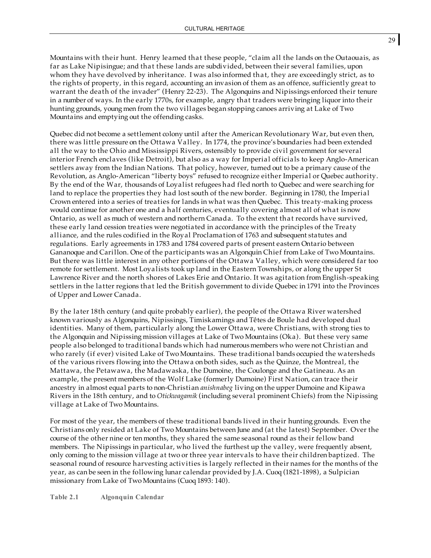Mountains with their hunt. Henry learned that these people, "claim all the lands on the Outaouais, as far as Lake Nipisingue; and that these lands are subdivided, between their several families, upon whom they have devolved by inheritance. I was also informed that, they are exceedingly strict, as to the rights of property, in this regard, accounting an invasion of them as an offence, sufficiently great to warrant the death of the invader" (Henry 22-23). The Algonquins and Nipissings enforced their tenure in a number of ways. In the early 1770s, for example, angry that traders were bringing liquor into their hunting grounds, young men from the two villages began stopping canoes arriving at Lake of Two Mountains and emptying out the offending casks.

Quebec did not become a settlement colony until after the American Revolutionary War, but even then, there was little pressure on the Ottawa Valley. In 1774, the province's boundaries had been extended all the way to the Ohio and Mississippi Rivers, ostensibly to provide civil government for several interior French enclaves (like Detroit), but also as a way for Imperial officials to keep Anglo-American settlers away from the Indian Nations. That policy, however, turned out to be a primary cause of the Revolution, as Anglo-American "liberty boys" refused to recognize either Imperial or Quebec authority. By the end of the War, thousands of Loyalist refugees had fled north to Quebec and were searching for land to replace the properties they had lost south of the new border. Beginning in 1780, the Imperial Crown entered into a series of treaties for lands in what was then Quebec. This treaty-making process would continue for another one and a half centuries, eventually covering almost all of what is now Ontario, as well as much of western and northern Canada. To the extent that records have survived, these early land cession treaties were negotiated in accordance with the principles of the Treaty alliance, and the rules codified in the Royal Proclamation of 1763 and subsequent statutes and regulations. Early agreements in 1783 and 1784 covered parts of present eastern Ontario between Gananoque and Carillon. One of the participants was an Algonquin Chief from Lake of Two Mountains. But there was little interest in any other portions of the Ottawa Valley, which were considered far too remote for settlement. Most Loyalists took up land in the Eastern Townships, or along the upper St Lawrence River and the north shores of Lakes Erie and Ontario. It was agitation from English-speaking settlers in the latter regions that led the British government to divide Quebec in 1791 into the Provinces of Upper and Lower Canada.

By the later 18th century (and quite probably earlier), the people of the Ottawa River watershed known variously as Algonquins, Nipissings, Timiskamings and Têtes de Boule had developed dual identities. Many of them, particularly along the Lower Ottawa, were Christians, with strong ties to the Algonquin and Nipissing mission villages at Lake of Two Mountains (Oka). But these very same people also belonged to traditional bands which had numerousmembers who were not Christian and who rarely (if ever) visited Lake of Two Mountains. These traditional bands occupied the watersheds of the various rivers flowing into the Ottawa on both sides, such as the Quinze, the Montreal, the Mattawa, the Petawawa, the Madawaska, the Dumoine, the Coulonge and the Gatineau. As an example, the present members of the Wolf Lake (formerly Dumoine) First Nation, can trace their ancestry in almost equal parts to non-Christian *anishnabeg* living on the upper Dumoine and Kipawa Rivers in the 18th century, and to *Otickwagamik* (including several prominent Chiefs) from the Nipissing village at Lake of Two Mountains.

For most of the year, the members of these traditional bands lived in their hunting grounds. Even the Christians only resided at Lake of Two Mountains between June and (at the latest) September. Over the course of the other nine or ten months, they shared the same seasonal round as their fellow band members. The Nipissings in particular, who lived the furthest up the valley, were frequently absent, only coming to the mission village at two or three year intervals to have their children baptized. The seasonal round of resource harvesting activities is largely reflected in their names for the months of the year, as can be seen in the following lunar calendar provided by J.A. Cuoq (1821-1898), a Sulpician missionary from Lake of Two Mountains (Cuoq 1893: 140).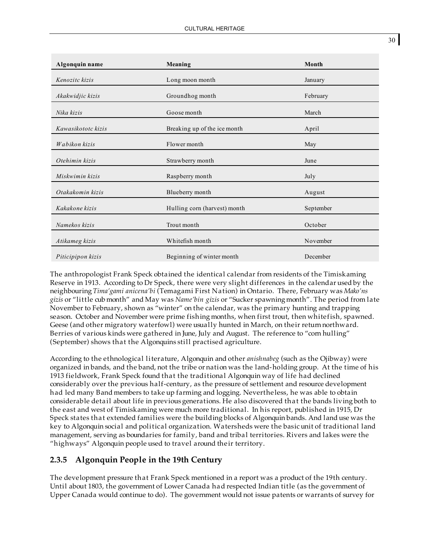| Algonquin name     | Meaning                      | Month     |
|--------------------|------------------------------|-----------|
| Kenozitc kizis     | Long moon month              | January   |
| Akakwidjic kizis   | Groundhog month              | February  |
| Nika kizis         | Goose month                  | March     |
| Kawasikototc kizis | Breaking up of the ice month | April     |
| Wabikon kizis      | Flower month                 | May       |
| Otehimin kizis     | Strawberry month             | June      |
| Miskwimin kizis    | Raspberry month              | July      |
| Otakakomin kizis   | Blueberry month              | August    |
| Kakakone kizis     | Hulling corn (harvest) month | September |
| Namekos kizis      | Trout month                  | October   |
| Atikameg kizis     | Whitefish month              | November  |
| Piticipipon kizis  | Beginning of winter month    | December  |

The anthropologist Frank Speck obtained the identical calendar from residents of the Timiskaming Reserve in 1913. According to Dr Speck, there were very slight differences in the calendar used by the neighbouring *Tima'gami anicena'bi* (Temagami First Nation) in Ontario. There, February was *Mako'ns gizis* or "little cub month" and May was *Name'bin gizis* or "Sucker spawning month". The period from late November to February, shown as "winter" on the calendar, was the primary hunting and trapping season. October and November were prime fishing months, when first trout, then whitefish, spawned. Geese (and other migratory waterfowl) were usually hunted in March, on their return northward. Berries of various kinds were gathered in June, July and August. The reference to "corn hulling" (September) shows that the Algonquins still practised agriculture.

According to the ethnological literature, Algonquin and other *anishnabeg* (such as the Ojibway) were organized in bands, and the band, not the tribe or nation was the land-holding group. At the time of his 1913 fieldwork, Frank Speck found that the traditional Algonquin way of life had declined considerably over the previous half-century, as the pressure of settlement and resource development had led many Band members to take up farming and logging. Nevertheless, he was able to obtain considerable detail about life in previous generations. He also discovered that the bands living both to the east and west of Timiskaming were much more traditional. In his report, published in 1915, Dr Speck states that extended families were the building blocks of Algonquin bands. And land use was the key to Algonquin social and political organization. Watersheds were the basic unit of traditional land management, serving as boundaries for family, band and tribal territories. Rivers and lakes were the "highways" Algonquin people used to travel around their territory.

#### **2.3.5 Algonquin People in the 19th Century**

The development pressure that Frank Speck mentioned in a report was a product of the 19th century. Until about 1803, the government of Lower Canada had respected Indian title (as the government of Upper Canada would continue to do). The government would not issue patents or warrants of survey for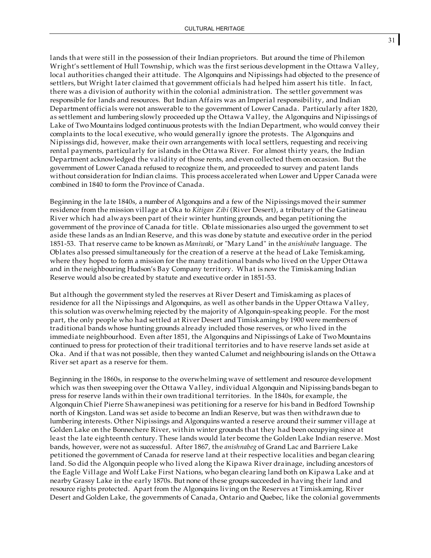lands that were still in the possession of their Indian proprietors. But around the time of Philemon Wright's settlement of Hull Township, which was the first serious development in the Ottawa Valley, local authorities changed their attitude. The Algonquins and Nipissings had objected to the presence of settlers, but Wright later claimed that government officials had helped him assert his title. In fact, there was a division of authority within the colonial administration. The settler government was responsible for lands and resources. But Indian Affairs was an Imperial responsibility, and Indian Department officials were not answerable to the government of Lower Canada. Particularly after 1820, as settlement and lumbering slowly proceeded up the Ottawa Valley, the Algonquins and Nipissings of Lake of Two Mountains lodged continuous protests with the Indian Department, who would convey their complaints to the local executive, who would generally ignore the protests. The Algonquins and Nipissings did, however, make their own arrangements with local settlers, requesting and receiving rental payments, particularly for islands in the Ottawa River. For almost thirty years, the Indian Department acknowledged the validity of those rents, and even collected them on occasion. But the government of Lower Canada refused to recognize them, and proceeded to survey and patent lands without consideration for Indian claims. This process accelerated when Lower and Upper Canada were combined in 1840 to form the Province of Canada.

Beginning in the late 1840s, a number of Algonquins and a few of the Nipissings moved their summer residence from the mission village at Oka to *Kitigan Zibi* (River Desert), a tributary of the Gatineau River which had always been part of their winter hunting grounds, and began petitioning the government of the province of Canada for title. Oblate missionaries also urged the government to set aside these lands as an Indian Reserve, and this was done by statute and executive order in the period 1851-53. That reserve came to be known as *Maniwaki*, or "Mary Land" in the *anishinabe* language. The Oblates also pressed simultaneously for the creation of a reserve at the head of Lake Temiskaming, where they hoped to form a mission for the many traditional bands who lived on the Upper Ottawa and in the neighbouring Hudson's Bay Company territory. What is now the Timiskaming Indian Reserve would also be created by statute and executive order in 1851-53.

But although the government styled the reserves at River Desert and Timiskaming as places of residence for all the Nipissings and Algonquins, as well as other bands in the Upper Ottawa Valley, this solution was overwhelming rejected by the majority of Algonquin-speaking people. For the most part, the only people who had settled at River Desert and Timiskaming by 1900 were members of traditional bands whose hunting grounds already included those reserves, or who lived in the immediate neighbourhood. Even after 1851, the Algonquins and Nipissings of Lake of Two Mountains continued to press for protection of their traditional territories and to have reserve lands set aside at Oka. And if that was not possible, then they wanted Calumet and neighbouring islands on the Ottawa River set apart as a reserve for them.

Beginning in the 1860s, in response to the overwhelming wave of settlement and resource development which was then sweeping over the Ottawa Valley, individual Algonquin and Nipissing bands began to press for reserve lands within their own traditional territories. In the 1840s, for example, the Algonquin Chief Pierre Shawanepinesi was petitioning for a reserve for his band in Bedford Township north of Kingston. Land was set aside to become an Indian Reserve, but was then withdrawn due to lumbering interests. Other Nipissings and Algonquins wanted a reserve around their summer village at Golden Lake on the Bonnechere River, within winter grounds that they had been occupying since at least the late eighteenth century. These lands would later become the Golden Lake Indian reserve. Most bands, however, were not as successful. After 1867, the *anishnabeg* of Grand Lac and Barriere Lake petitioned the government of Canada for reserve land at their respective localities and began clearing land. So did the Algonquin people who lived along the Kipawa River drainage, including ancestors of the Eagle Village and Wolf Lake First Nations, who began clearing land both on Kipawa Lake and at nearby Grassy Lake in the early 1870s. But none of these groups succeeded in having their land and resource rights protected. Apart from the Algonquins living on the Reserves at Timiskaming, River Desert and Golden Lake, the governments of Canada, Ontario and Quebec, like the colonial governments

31